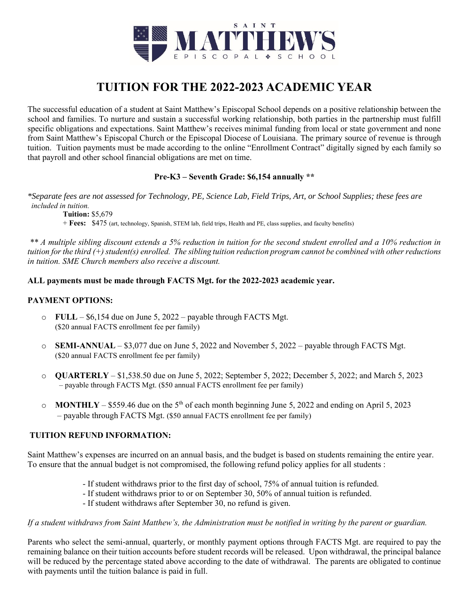

# **TUITION FOR THE 2022-2023 ACADEMIC YEAR**

The successful education of a student at Saint Matthew's Episcopal School depends on a positive relationship between the school and families. To nurture and sustain a successful working relationship, both parties in the partnership must fulfill specific obligations and expectations. Saint Matthew's receives minimal funding from local or state government and none from Saint Matthew's Episcopal Church or the Episcopal Diocese of Louisiana. The primary source of revenue is through tuition. Tuition payments must be made according to the online "Enrollment Contract" digitally signed by each family so that payroll and other school financial obligations are met on time.

# **Pre-K3 – Seventh Grade: \$6,154 annually \*\***

*\*Separate fees are not assessed for Technology, PE, Science Lab, Field Trips, Art, or School Supplies; these fees are included in tuition.* 

**Tuition:** \$5,679 + **Fees:** \$475 (art, technology, Spanish, STEM lab, field trips, Health and PE, class supplies, and faculty benefits)

*\*\* A multiple sibling discount extends a 5% reduction in tuition for the second student enrolled and a 10% reduction in tuition for the third (+) student(s) enrolled. The sibling tuition reduction program cannot be combined with other reductions in tuition. SME Church members also receive a discount.* 

# **ALL payments must be made through FACTS Mgt. for the 2022-2023 academic year.**

# **PAYMENT OPTIONS:**

- o **FULL**  \$6,154 due on June 5, 2022 payable through FACTS Mgt. (\$20 annual FACTS enrollment fee per family)
- o **SEMI-ANNUAL**  \$3,077 due on June 5, 2022 and November 5, 2022 payable through FACTS Mgt. (\$20 annual FACTS enrollment fee per family)
- o **QUARTERLY**  \$1,538.50 due on June 5, 2022; September 5, 2022; December 5, 2022; and March 5, 2023 – payable through FACTS Mgt. (\$50 annual FACTS enrollment fee per family)
- $\circ$  **MONTHLY** \$559.46 due on the 5<sup>th</sup> of each month beginning June 5, 2022 and ending on April 5, 2023 – payable through FACTS Mgt. (\$50 annual FACTS enrollment fee per family)

# **TUITION REFUND INFORMATION:**

Saint Matthew's expenses are incurred on an annual basis, and the budget is based on students remaining the entire year. To ensure that the annual budget is not compromised, the following refund policy applies for all students :

- If student withdraws prior to the first day of school, 75% of annual tuition is refunded.
- If student withdraws prior to or on September 30, 50% of annual tuition is refunded.
- If student withdraws after September 30, no refund is given.

#### *If a student withdraws from Saint Matthew's, the Administration must be notified in writing by the parent or guardian.*

Parents who select the semi-annual, quarterly, or monthly payment options through FACTS Mgt. are required to pay the remaining balance on their tuition accounts before student records will be released. Upon withdrawal, the principal balance will be reduced by the percentage stated above according to the date of withdrawal. The parents are obligated to continue with payments until the tuition balance is paid in full.